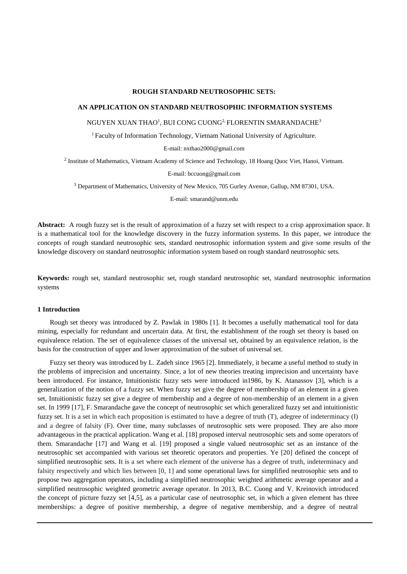#### **ROUGH STANDARD NEUTROSOPHIC SETS:**

#### **AN APPLICATION ON STANDARD NEUTROSOPHIC INFORMATION SYSTEMS**

### NGUYEN XUAN THAO<sup>1</sup>, BUI CONG CUONG<sup>2,</sup> FLORENTIN SMARANDACHE<sup>3</sup>

<sup>1</sup> Faculty of Information Technology, Vietnam National University of Agriculture.

E-mail: nxthao2000@gmail.com

<sup>2</sup> Institute of Mathematics, Vietnam Academy of Science and Technology, 18 Hoang Quoc Viet, Hanoi, Vietnam.

E-mail: bccuong@gmail.com

<sup>3</sup> Department of Mathematics, University of New Mexico, 705 Gurley Avenue, Gallup, NM 87301, USA.

E-mail: smarand@unm.edu

**Abstract:** A rough fuzzy set is the result of approximation of a fuzzy set with respect to a crisp approximation space. It is a mathematical tool for the knowledge discovery in the fuzzy information systems. In this paper, we introduce the concepts of rough standard neutrosophic sets, standard neutrosophic information system and give some results of the knowledge discovery on standard neutrosophic information system based on rough standard neutrosophic sets.

**Keywords:** rough set, standard neutrosophic set, rough standard neutrosophic set, standard neutrosophic information systems

#### **1 Introduction**

Rough set theory was introduced by Z. Pawlak in 1980s [1]. It becomes a usefully mathematical tool for data mining, especially for redundant and uncertain data. At first, the establishment of the rough set theory is based on equivalence relation. The set of equivalence classes of the universal set, obtained by an equivalence relation, is the basis for the construction of upper and lower approximation of the subset of universal set.

Fuzzy set theory was introduced by L. Zadeh since 1965 [2]. Immediately, it became a useful method to study in the problems of imprecision and uncertainty. Since, a lot of new theories treating imprecision and uncertainty have been introduced. For instance, Intuitionistic fuzzy sets were introduced in1986, by K. Atanassov [3], which is a generalization of the notion of a fuzzy set. When fuzzy set give the degree of membership of an element in a given set, Intuitionistic fuzzy set give a degree of membership and a degree of non-membership of an element in a given set. In 1999 [17], F. Smarandache gave the concept of neutrosophic set which generalized fuzzy set and intuitionistic fuzzy set. It is a set in which each proposition is estimated to have a degree of truth (T), adegree of indeterminacy (I) and a degree of falsity (F). Over time, many subclasses of neutrosophic sets were proposed. They are also more advantageous in the practical application. Wang et al. [18] proposed interval neutrosophic sets and some operators of them. Smarandache [17] and Wang et al. [19] proposed a single valued neutrosophic set as an instance of the neutrosophic set accompanied with various set theoretic operators and properties. Ye [20] defined the concept of simplified neutrosophic sets. It is a set where each element of the universe has a degree of truth, indeterminacy and falsity respectively and which lies between [0, 1] and some operational laws for simplified neutrosophic sets and to propose two aggregation operators, including a simplified neutrosophic weighted arithmetic average operator and a simplified neutrosophic weighted geometric average operator. In 2013, B.C. Cuong and V. Kreinovich introduced the concept of picture fuzzy set [4,5], as a particular case of neutrosophic set, in which a given element has three memberships: a degree of positive membership, a degree of negative membership, and a degree of neutral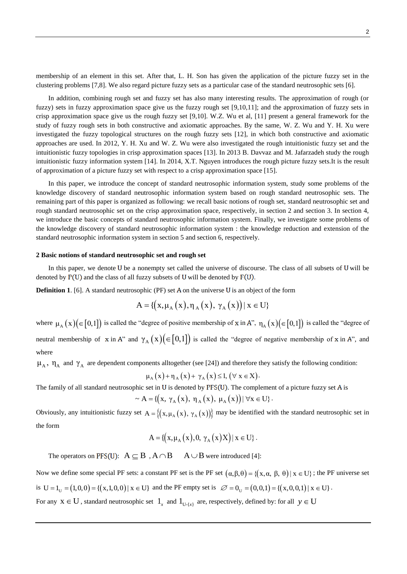membership of an element in this set. After that, L. H. Son has given the application of the picture fuzzy set in the clustering problems [7,8]. We also regard picture fuzzy sets as a particular case of the standard neutrosophic sets [6].

In addition, combining rough set and fuzzy set has also many interesting results. The approximation of rough (or fuzzy) sets in fuzzy approximation space give us the fuzzy rough set [9,10,11]; and the approximation of fuzzy sets in crisp approximation space give us the rough fuzzy set [9,10]. W.Z. Wu et al, [11] present a general framework for the study of fuzzy rough sets in both constructive and axiomatic approaches. By the same, W. Z. Wu and Y. H. Xu were investigated the fuzzy topological structures on the rough fuzzy sets [12], in which both constructive and axiomatic approaches are used. In 2012, Y. H. Xu and W. Z. Wu were also investigated the rough intuitionistic fuzzy set and the intuitionistic fuzzy topologies in crisp approximation spaces [13]. In 2013 B. Davvaz and M. Jafarzadeh study the rough intuitionistic fuzzy information system [14]. In 2014, X.T. Nguyen introduces the rough picture fuzzy sets.It is the result of approximation of a picture fuzzy set with respect to a crisp approximation space [15].

In this paper, we introduce the concept of standard neutrosophic information system, study some problems of the knowledge discovery of standard neutrosophic information system based on rough standard neutrosophic sets. The remaining part of this paper is organized as following: we recall basic notions of rough set, standard neutrosophic set and rough standard neutrosophic set on the crisp approximation space, respectively, in section 2 and section 3. In section 4, we introduce the basic concepts of standard neutrosophic information system. Finally, we investigate some problems of the knowledge discovery of standard neutrosophic information system : the knowledge reduction and extension of the standard neutrosophic information system in section 5 and section 6, respectively.

### **2 Basic notions of standard neutrosophic set and rough set**

In this paper, we denote U be a nonempty set called the universe of discourse. The class of all subsets of U will be denoted by  $P(U)$  and the class of all fuzzy subsets of U will be denoted by  $F(U)$ .

**Definition 1**. [6]. A standard neutrosophic (PF) set A on the universe U is an object of the form  $A = \{ (x, \mu_A(x), \eta_A(x), \gamma_A(x)) | x \in U \}$ 

$$
A = \{ (x, \mu_A(x), \eta_A(x), \gamma_A(x)) | x \in U \}
$$

where  $\mu_A(x)$  ( $\in [0,1]$ ) is called the "degree of positive membership of x in A",  $\eta_A(x)$  ( $\in [0,1]$ ) is called the "degree of neutral membership of x in A" and  $\gamma_A(x)$  ( $\in [0,1]$ ) is called the "degree of negative membership of x in A", and where

 $\mu_A$ ,  $\eta_A$  and  $\gamma_A$  are dependent components alltogether (see [24]) and therefore they satisfy the following condition:

 $\mu_A(x) + \eta_A(x) + \gamma_A(x) \leq 1, (\forall x \in X).$ 

The family of all standard neutrosophic set in U is denoted by PFS(U). The complement of a picture fuzzy set A is  $\sim A = \{ (x, \gamma_A(x), \eta_A(x), \mu_A(x)) | \forall x \in U \}$ .

$$
\sim A = \{ (x, \gamma_A(x), \eta_A(x), \mu_A(x)) | \forall x \in U \}.
$$

Obviously, any intuitionistic fuzzy set  $A = \{(x, \mu_A(x), \gamma_A(x))\}$  may be identified with the standard neutrosophic set in the form

$$
A = \{ (x, \mu_A(x), 0, \gamma_A(x)X) | x \in U \}.
$$

The operators on PFS(U):  $A \subseteq B$ ,  $A \cap B$   $A \cup B$  were introduced [4]:

Now we define some special PF sets: a constant PF set is the PF set  $(\alpha, \beta, \theta) = \{(x, \alpha, \beta, \theta) | x \in U\}$ ; the PF universe set is  $U = 1_U = (1,0,0) = \{(x,1,0,0) | x \in U\}$  and the PF empty set is  $\emptyset = 0_U = (0,0,1) = \{(x,0,0,1) | x \in U\}$ . For any  $x \in U$ , standard neutrosophic set  $1_x$  and  $1_{U-[x]}$  are, respectively, defined by: for all  $y \in U$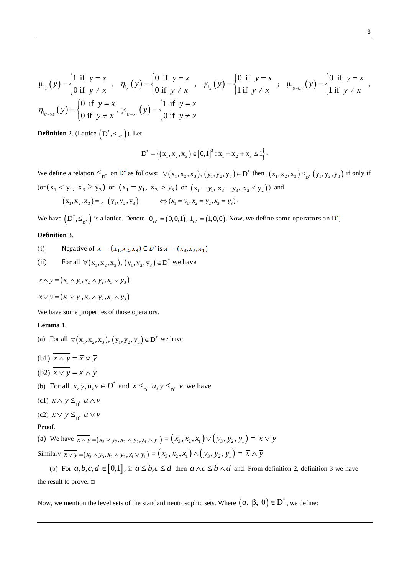$$
\mu_{1_x}(y) = \begin{cases} 1 & \text{if } y = x \\ 0 & \text{if } y \neq x \end{cases}, \quad \eta_{1_x}(y) = \begin{cases} 0 & \text{if } y = x \\ 0 & \text{if } y \neq x \end{cases}, \quad \gamma_{1_x}(y) = \begin{cases} 0 & \text{if } y = x \\ 1 & \text{if } y \neq x \end{cases}, \quad \mu_{1_{U^{-\{x\}}}}(y) = \begin{cases} 0 & \text{if } y = x \\ 1 & \text{if } y \neq x \end{cases}
$$

$$
\eta_{1_{U^{-\{x\}}}}(y) = \begin{cases} 0 & \text{if } y = x \\ 0 & \text{if } y \neq x \end{cases}
$$

**Definition 2**. (Lattice  $(D^*, \leq_{D^*})$ ). Let

$$
D^* = \left\{ (x_1, x_2, x_3) \in [0,1]^3 : x_1 + x_2 + x_3 \le 1 \right\}.
$$

We define a relation  $\leq_{D^*}$  on  $D^*$  as follows:  $\forall (x_1, x_2, x_3), (y_1, y_2, y_3) \in D^*$  $\forall (x_1, x_2, x_3), (y_1, y_2, y_3) \in D^*$  then  $(x_1, x_2, x_3) \leq_{D^*} (y_1, y_2, y_3)$  if only if (or  $(x_1 < y_1, x_3 \ge y_3)$  or  $(x_1 = y_1, x_3 > y_3)$  or  $(x_1 = y_1, x_3 = y_3, x_2 \le y_2)$ ) and  $(x_1, x_2, x_3) =_{D^*} (y_1, y_2, y_3) \implies (x_1 = y_1, x_2 = y_2, x_3 = y_3).$ 

We have  $\left(\textbf{D}^*,\leq_{\textbf{D}^*}\right)$  is a lattice. Denote  $\textbf{O}_{\textbf{D}^*}=\left(0,0,1\right)$ ,  $1_{\textbf{D}^*}=\left(1,0,0\right)$ . Now, we define some operators on  $\textbf{D}^*$ 

## **Definition 3**.

(i) Negative of 
$$
x = (x_1, x_2, x_3) \in D^*
$$
 is  $\overline{x} = (x_3, x_2, x_1)$ 

(ii) For all 
$$
\forall (x_1, x_2, x_3), (y_1, y_2, y_3) \in D^*
$$
 we have

$$
x \wedge y = (x_1 \wedge y_1, x_2 \wedge y_2, x_3 \vee y_3)
$$

$$
x \vee y = (x_1 \vee y_1, x_2 \wedge y_2, x_3 \wedge y_3)
$$

We have some properties of those operators.

# **Lemma 1**.

- (a) For all  $\forall (x_1, x_2, x_3), (y_1, y_2, y_3) \in D^*$  $\forall (x_1, x_2, x_3), (y_1, y_2, y_3) \in D^*$  we have
- (b1)  $x \wedge y = \overline{x} \vee \overline{y}$
- (b2)  $x \lor y = \overline{x} \land \overline{y}$
- (b) For all  $x, y, u, v \in D^*$  and  $x \leq_{D^*} u, y \leq_{D^*} v$  we have
- (c1)  $x \wedge y \leq_{D^*} u \wedge v$
- (c2)  $x \vee y \leq_{D^*} u \vee v$

### **Proof**.

(a) We have  $\overline{x \wedge y} = (x_3 \vee y_3, x_2 \wedge y_2, x_1 \wedge y_1) = (x_3, x_2, x_1) \vee (y_3, y_2, y_1) = \overline{x} \vee \overline{y}$ Similary  $\overline{x \vee y} = (x_3 \wedge y_3, x_2 \wedge y_2, x_1 \vee y_1) = (x_3, x_2, x_1) \wedge (y_3, y_2, y_1) = \overline{x} \wedge \overline{y}$ 

(b) For  $a,b,c,d \in [0,1]$ , if  $a \leq b,c \leq d$  then  $a \wedge c \leq b \wedge d$  and. From definition 2, definition 3 we have the result to prove. □

Now, we mention the level sets of the standard neutrosophic sets. Where  $(α, β, θ) ∈ D^*$ , we define:

,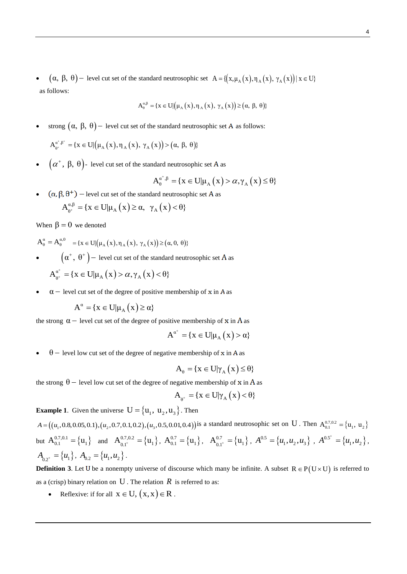$(\alpha, \beta, \theta)$  – level cut set of the standard neutrosophic set  $A = \{ (x, \mu_A(x), \eta_A(x), \gamma_A(x)) | x \in U \}$ as follows:

$$
A_{\theta}^{\alpha,\beta} = \{x \in U | (\mu_A(x), \eta_A(x), \gamma_A(x)) \geq (\alpha, \beta, \theta) \}
$$

$$
ext{strong } (α, β, θ) - level cut set of the standard neutrosophic set A as follows:
$$
\n
$$
A_{\theta^*}^{\alpha^*, \beta^*} = \{ x \in U | (\mu_A(x), \eta_A(x), \gamma_A(x)) > (\alpha, β, θ) \}
$$

 $\bullet$   $\left( \alpha^{+},\ \beta,\ \theta\right)$ - level cut set of the standard neutrosophic set A as

$$
A_{\theta}^{\alpha^+, \beta} = \{ x \in U | \mu_A(x) > \alpha, \gamma_A(x) \le \theta \}
$$

**e** (α, β, θ<sup>+</sup>) − level cut set of the standard neutrosophic set A as<br>  $A_{\theta^+}^{\alpha,\beta} = \{x \in U | \mu_A(x) \ge \alpha, \gamma_A(x) < \theta \}$ 

$$
A_{\theta^+}^{\alpha,\beta} = \{ x \in U | \mu_A(x) \ge \alpha, \ \gamma_A(x) < \theta \}
$$

When  $\beta = 0$  we denoted

- $A_{\theta}^{\alpha} = A_{\theta}^{\alpha,0} = {x \in U | (\mu_{\alpha}(x), \eta_{\alpha}(x), \gamma_{\alpha}(x)) \ge (\alpha, 0, \theta)}$
- $\left( \alpha^+, \theta^+ \right)$  level cut set of the standard neutrosophic set A as

$$
A_{\theta^+}^{\alpha^+} = \{ x \in U | \mu_A(x) > \alpha, \gamma_A(x) < \theta \}
$$

 $\alpha$  – level cut set of the degree of positive membership of x in A as

$$
A^{\alpha} = \{x \in U | \mu_A(x) \ge \alpha\}
$$

the strong  $\alpha$  – level cut set of the degree of positive membership of x in A as

$$
A^{\alpha^+} = \{x \in U | \mu_A(x) > \alpha\}
$$

 $\theta$  – level low cut set of the degree of negative membership of x in A as

$$
A_{\theta} = \{x \in U | \gamma_A(x) \leq \theta\}
$$

the strong  $\theta$  – level low cut set of the degree of negative membership of x in A as

$$
A_{\theta^+} = \{ x \in U | \gamma_A(x) < \theta \}
$$

**Example 1.** Given the universe  $U = \{u_1, u_2, u_3\}$ . Then

**Example 1**. Given the universe  $U = \{u_1, u_2, u_3\}$ . Then<br>  $A = ((u_1, 0.8, 0.05, 0.1), (u_2, 0.7, 0.1, 0.2), (u_3, 0.5, 0.01, 0.4))$  is a standard neutrosophic set on U. Then  $A_{0.1}^{0.7,0.2} = \{u_1, u_2\}$ but  $A_{0.1}^{0.7,0.1} = \{u_1\}$  and  $A_{0.1^+}^{0.7,0.2} = \{u_1\}$ ,  $A_{0.1}^{0.7} = \{u_1\}$ ,  $A_{0.1^+}^{0.7} = \{u_1\}$ ,  $A_{0.5^-}^{0.5} = \{u_1, u_2, u_3\}$ ,  $A_{0.5^-}^{0.5^+} = \{u_1, u_2\}$ ,  $A_{0.2^+} = \{u_1\}, A_{0.2} = \{u_1, u_2\}.$ 

**Definition 3**. Let U be a nonempty universe of discourse which many be infinite. A subset  $R \in P(U \times U)$  is referred to as a (crisp) binary relation on U . The relation  $R$  is referred to as:

• Reflexive: if for all  $x \in U$ ,  $(x, x) \in R$ .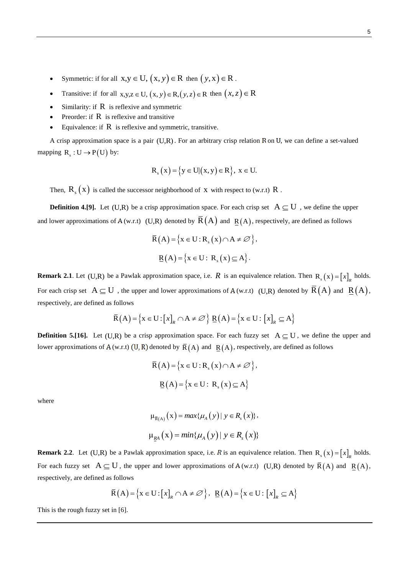- Symmetric: if for all  $x, y \in U$ ,  $(x, y) \in R$  then  $(y, x) \in R$ .
- Transitive: if for all  $x,y,z \in U$ ,  $(x, y) \in R$ ,  $(y, z) \in R$  then  $(x, z) \in R$
- Similarity: if  $R$  is reflexive and symmetric
- Preorder: if  $R$  is reflexive and transitive
- Equivalence: if  $R$  is reflexive and symmetric, transitive.

A crisp approximation space is a pair  $(U,R)$ . For an arbitrary crisp relation R on U, we can define a set-valued mapping  $R_s : U \rightarrow P(U)$  by:

$$
R_s(x) = \{y \in U | (x, y) \in R\}, x \in U.
$$

Then,  $R_s(x)$  is called the successor neighborhood of x with respect to (w.r.t) R.

**Definition 4.[9].** Let (U,R) be a crisp approximation space. For each crisp set  $A \subseteq U$ , we define the upper and lower approximations of A (w.r.t) (U,R) denoted by  $\overline{R}(A)$  and  $R(A)$ , respectively, are defined as follows

$$
\overline{R}(A) = \{x \in U : R_s(x) \cap A \neq \emptyset\},\
$$

$$
\underline{R}(A) = \{x \in U : R_s(x) \subseteq A\}.
$$

**Remark 2.1**. Let (U,R) be a Pawlak approximation space, i.e. R is an equivalence relation. Then  $R_s(x) = [x]_R$  holds. For each crisp set  $A \subseteq U$ , the upper and lower approximations of A (w.r.t) (U,R) denoted by  $\bar{R}(A)$  and  $\underline{R}(A)$ , respectively, are defined as follows

$$
\overline{\mathsf{R}}\left(\mathsf{A}\right) = \left\{\mathsf{x} \in \mathsf{U} : \left[x\right]_{R} \cap \mathsf{A} \neq \varnothing\right\} \underline{\mathsf{R}}\left(\mathsf{A}\right) = \left\{\mathsf{x} \in \mathsf{U} : \left[x\right]_{R} \subseteq \mathsf{A}\right\}
$$

**Definition 5.[16].** Let  $(U,R)$  be a crisp approximation space. For each fuzzy set  $A \subseteq U$ , we define the upper and lower approximations of A (w.r.t) (U, R) denoted by  $\bar{R}(A)$  and  $R(A)$ , respectively, are defined as follows

$$
\overline{R}(A) = \{x \in U : R_s(x) \cap A \neq \emptyset\},\
$$

$$
\underline{R}(A) = \{x \in U : R_s(x) \subseteq A\}
$$

where

$$
\mu_{\overline{R}(A)}(x) = max{\mu_A(y) | y \in R_s(x)},
$$
  

$$
\mu_{\underline{R}A}(x) = min{\mu_A(y) | y \in R_s(x)}
$$

**Remark 2.2**. Let (U,R) be a Pawlak approximation space, i.e. R is an equivalence relation. Then  $R_s(x) = [x]_R$  holds. For each fuzzy set  $A \subseteq U$ , the upper and lower approximations of  $A(w.r.t)$  (U,R) denoted by  $\overline{R}(A)$  and  $\underline{R}(A)$ , respectively, are defined as follows

$$
\overline{\mathsf{R}}\big(\mathsf{A}\big) = \Big\{\mathsf{x} \in \mathsf{U} : \big[x\big]_R \cap \mathsf{A} \neq \varnothing\Big\}, \ \underline{\mathsf{R}}\big(\mathsf{A}\big) = \Big\{\mathsf{x} \in \mathsf{U} : \big[x\big]_R \subseteq \mathsf{A}\Big\}
$$

This is the rough fuzzy set in [6].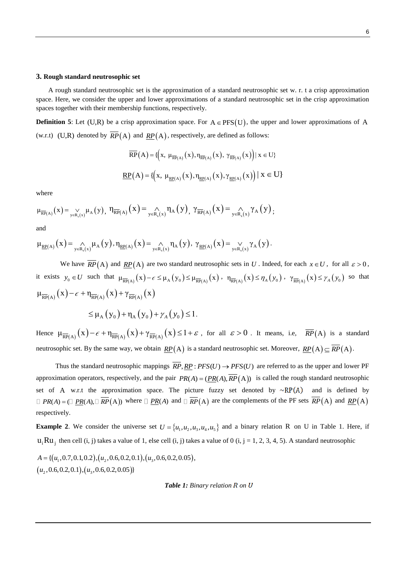#### **3. Rough standard neutrosophic set**

A rough standard neutrosophic set is the approximation of a standard neutrosophic set w. r. t a crisp approximation space. Here, we consider the upper and lower approximations of a standard neutrosophic set in the crisp approximation spaces together with their membership functions, respectively.

**Definition 5**: Let  $(U,R)$  be a crisp approximation space. For  $A \in PFS(U)$ , the upper and lower approximations of A

(w.r.t) (U,R) denoted by 
$$
RP(A)
$$
 and  $RP(A)$ , respectively, are defined as follows:  
\n
$$
\overline{RP}(A) = \{ (x, \mu_{\overline{RP}(A)}(x), \eta_{\overline{RP}(A)}(x), \gamma_{\overline{RP}(A)}(x) ) | x \in U \}
$$
\n
$$
\underline{RP}(A) = \{ (x, \mu_{\underline{RP}(A)}(x), \eta_{\underline{RP}(A)}(x), \gamma_{\underline{RP}(A)}(x) ) | x \in U \}
$$

where

$$
\mu_{\overline{\text{RP}}(A)}\big(x\big) \!=\! \mathop{\vee}\limits_{y\in R_s(x)}\mu_A\big(y\big),\ \eta_{\overline{\text{RP}}(A)}\big(x\big) \!=\! \mathop{\wedge}\limits_{y\in R_s(x)}\eta_A\big(y\big),\ \gamma_{\overline{\text{RP}}(A)}\big(x\big) \!=\! \mathop{\wedge}\limits_{y\in R_s(x)}\!\gamma_A\big(y\big)\! \: ;
$$

and

$$
\mu_{\underline{RP}(A)}\big(x\big)=\underset{y\in R_s(x)}{\wedge}\mu_A\big(y\big),\eta_{\underline{RP}(A)}\big(x\big)=\underset{y\in R_s(x)}{\wedge}\eta_A\big(y\big),\ \gamma_{\underline{RP}(A)}\big(x\big)=\underset{y\in R_s(x)}{\vee}\gamma_A\big(y\big).
$$

We have  $RP(A)$  and  $RP(A)$  are two standard neutrosophic sets in U. Indeed, for each  $x \in U$ , for all  $\varepsilon > 0$ , it exists  $y_0 \in U$  such that  $\mu_{\overline{RP}(A)}(x) - \epsilon \leq \mu_A(y_0) \leq \mu_{\overline{RP}(A)}(x)$ ,  $\eta_{\overline{RP}(A)}(x) \leq \eta_A(y_0)$ ,  $\gamma_{\overline{RP}(A)}(x) \leq \gamma_A(y_0)$  so that  $\mu_{\overline{\text{RP}}(A)}(x) - \epsilon + \eta_{\overline{\text{RP}}(A)}(x) + \gamma_{\overline{\text{RP}}(A)}(x)$ 

$$
\leq \mu_A(y_0) + \eta_A(y_0) + \gamma_A(y_0) \leq 1.
$$

Hence  $\mu_{\overline{RP}(A)}(x) - \epsilon + \eta_{\overline{RP}(A)}(x) + \gamma_{\overline{RP}(A)}(x) \leq 1 + \epsilon$ , for all  $\epsilon > 0$ . It means, i.e,  $\overline{RP}(A)$  is a standard neutrosophic set. By the same way, we obtain  $\mathbb{R}P(A)$  is a standard neutrosophic set. Moreover,  $\mathbb{R}P(A) \subseteq \overline{\mathbb{R}P}(A)$ .

Thus the standard neutrosophic mappings  $\overline{RP}$ ,  $\underline{RP}$ :  $PFS(U) \rightarrow PFS(U)$  are referred to as the upper and lower PF approximation operators, respectively, and the pair  $PR(A) = (PR(A), \overline{RP}(A))$  is called the rough standard neutrosophic set of A w.r.t the approximation space. The picture fuzzy set denoted by  $\sim R P(A)$  and is defined by *PR*(*A*) =  $\Box$  <u>*PR*(*A*),  $\Box$  *RP*(*A*)) where  $\Box$  *PR*(*A*) and  $\Box$  *RP*(*A*) are the complements of the PF sets  $\overline{RP}(A)$  and  $\underline{RP}(A)$ </u> respectively.

**Example 2.** We consider the universe set  $U = \{u_1, u_2, u_3, u_4, u_5\}$  and a binary relation R on U in Table 1. Here, if  $u_i Ru_j$  then cell (i, j) takes a value of 1, else cell (i, j) takes a value of 0 (i, j = 1, 2, 3, 4, 5). A standard neutrosophic  $u_i Ru_j$  then cell (i, j) takes a value of 1, else cell (i, j) take<br>  $A = \{(u_1, 0.7, 0.1, 0.2), (u_2, 0.6, 0.2, 0.1), (u_3, 0.6, 0.2, 0.05)\}$ 

 $A = \{ (u_1, 0.7, 0.1, 0.2), (u_2, 0.6, 0.2, 0, 0, u_2, 0.6, 0.2, 0.1), (u_3, 0.6, 0.2, 0.05) \}$ 

*Table 1: Binary relation R on U*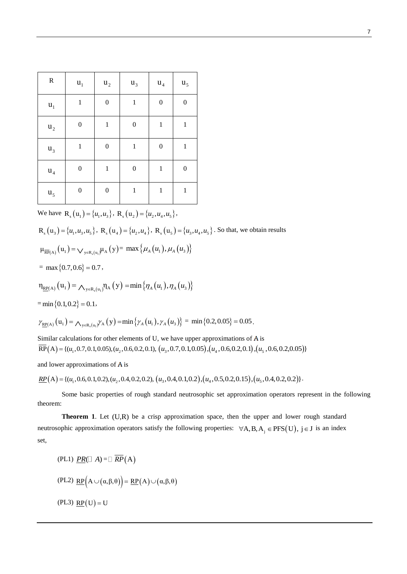| ${\bf R}$      | $\mathbf{u}_{1}$ | $u_2$            | $u_3$            | $\mathbf{u}_4$   | $\mathbf{u}_5$   |
|----------------|------------------|------------------|------------------|------------------|------------------|
| $\mathbf{u}_1$ | $\mathbf{1}$     | $\boldsymbol{0}$ | $\mathbf{1}$     | $\boldsymbol{0}$ | $\boldsymbol{0}$ |
| $u_2$          | $\boldsymbol{0}$ | $\,1$            | $\boldsymbol{0}$ | $\,1$            | $\,1$            |
| $u_3$          | $\mathbf{1}$     | $\boldsymbol{0}$ | $\,1$            | $\boldsymbol{0}$ | $\mathbf{1}$     |
| $u_4$          | $\boldsymbol{0}$ | $\,1$            | $\boldsymbol{0}$ | $\mathbf{1}$     | $\boldsymbol{0}$ |
| u <sub>5</sub> | $\boldsymbol{0}$ | $\boldsymbol{0}$ | $\mathbf{1}$     | $\mathbf{1}$     | $\,1$            |

We have  $\mathbf{R}_{s}(u_1) = \{u_1, u_3\}$ ,  $\mathbf{R}_{s}(u_2) = \{u_2, u_4, u_5\}$ ,

 $R_s(u_3) = \{u_1, u_3, u_5\}$ ,  $R_s(u_4) = \{u_2, u_4\}$ ,  $R_s(u_5) = \{u_3, u_4, u_5\}$ . So that, we obtain results

$$
\mu_{\overline{\text{RP}}(A)}(u_1) = \bigvee_{y \in R_s(u_1)} \mu_A(y) = \max \{ \mu_A(u_1), \mu_A(u_3) \}
$$

 $=$  max {0.7, 0.6} = 0.7,

$$
\eta_{\underline{RP}(A)}(u_1) = \bigwedge\nolimits_{y \in R_s(u_1)} \eta_A(y) = \min \left\{ \eta_A(u_1), \eta_A(u_3) \right\}
$$

 $=$ min {0.1, 0.2} = 0.1,

$$
= \min\{0.1, 0.2\} = 0.1,
$$
  

$$
\gamma_{\underline{RP}(A)}(u_1) = \Lambda_{y \in R_s(u_1)} \gamma_A(y) = \min\{\gamma_A(u_1), \gamma_A(u_3)\} = \min\{0.2, 0.05\} = 0.05.
$$

Similar calculations for other elements of  $U$ , we have upper approximations of  $A$  is Similar calculations for other elements of U, we have upper approximations of A is  $\overline{RP}(A) = \{(u_1, 0.7, 0.1, 0.05), (u_2, 0.6, 0.2, 0.1), (u_3, 0.7, 0.1, 0.05), (u_4, 0.6, 0.2, 0.1), (u_5, 0.6, 0.2, 0.05)\}$ 

and lower approximations of A is

 $R P(A) = \{(u_1, 0.6, 0.1, 0.2), (u_2, 0.4, 0.2, 0.2), (u_3, 0.4, 0.1, 0.2), (u_4, 0.5, 0.2, 0.15), (u_5, 0.4, 0.2, 0.2)\}.$ 

Some basic properties of rough standard neutrosophic set approximation operators represent in the following theorem:

Theorem 1. Let (U,R) be a crisp approximation space, then the upper and lower rough standard neutrosophic approximation operators satisfy the following properties:  $\forall A, B, A_j \in PFS(U)$ ,  $j \in J$  is an index set,

(PL1) 
$$
\underline{PR}(\Box A) = \Box \overline{RP}(A)
$$
  
\n(PL2)  $\underline{RP}(A \cup (\alpha, \beta, \theta)) = \underline{RP}(A) \cup (\alpha, \beta, \theta)$   
\n(PL3)  $\underline{RP}(U) = U$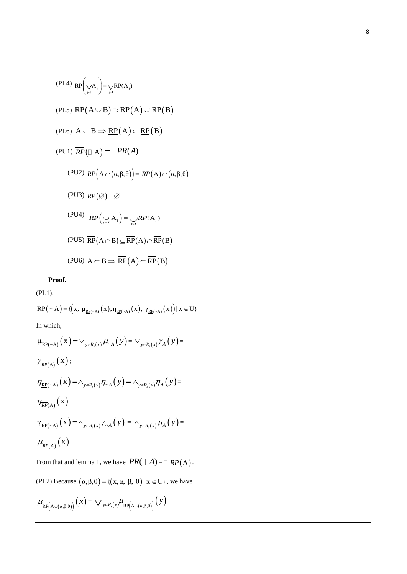(PL4) 
$$
\mathbb{RP} \Big( \bigvee_{j \in J} A_j \Big) = \bigvee_{j \in J} \mathbb{RP}(A_j)
$$
  
\n(PL5)  $\mathbb{RP}(A \cup B) \supseteq \mathbb{RP}(A) \cup \mathbb{RP}(B)$   
\n(PL6)  $A \subseteq B \Rightarrow \mathbb{RP}(A) \subseteq \mathbb{RP}(B)$   
\n(PU1)  $\overline{RP}(\Box A) = \Box \underline{PR}(A)$   
\n(PU2)  $\overline{RP}(A \cap (\alpha, \beta, \theta)) = \overline{RP}(A) \cap (\alpha, \beta, \theta)$   
\n(PU3)  $\overline{RP}(\emptyset) = \emptyset$   
\n(PU4)  $\overline{RP}(\bigvee_{j \in J} A_j) = \bigvee_{j \in J} \overline{RP}(A_j)$   
\n(PU5)  $\overline{RP}(A \cap B) \subseteq \overline{RP}(A) \cap \overline{RP}(B)$   
\n(PU6)  $A \subseteq B \Rightarrow \overline{RP}(A) \subseteq \overline{RP}(B)$ 

**Proof.**

(PL1).

(PL1).  
\n
$$
\underline{RP}(\sim A) = \{ (x, \mu_{\underline{RP}(\sim A)}(x), \eta_{\underline{RP}(\sim A)}(x), \gamma_{\underline{RP}(\sim A)}(x) ) | x \in U \}
$$
\nIn which,  
\n
$$
\mu_{\underline{RP}(\sim A)}(x) = \vee_{y \in R_s(x)} \mu_{\sim A}(y) = \vee_{y \in R_s(x)} \gamma_A(y) =
$$
\n
$$
\gamma_{\overline{RP}(A)}(x);
$$
\n
$$
\eta_{\underline{RP}(\sim A)}(x) = \wedge_{y \in R_s(x)} \eta_{\sim A}(y) = \wedge_{y \in R_s(x)} \eta_A(y) =
$$
\n
$$
\eta_{\overline{RP}(A)}(x)
$$
\n
$$
\gamma_{\underline{RP}(\sim A)}(x) = \wedge_{y \in R_s(x)} \gamma_{\sim A}(y) = \wedge_{y \in R_s(x)} \mu_A(y) =
$$
\n
$$
\mu_{\overline{RP}(A)}(x)
$$

From that and lemma 1, we have  $\overline{PR}(\Box A) = \overline{RP}(A)$ .

(PL2) Because  $(\alpha, \beta, \theta) = \{(x, \alpha, \beta, \theta) | x \in U\}$ , we have

$$
\mu_{\underline{\text{RP}}\left(A\cup(\alpha,\beta,\theta)\right)}\left(x\right)=\bigvee{}_{y\in R_{s}\left(x\right)}\mu_{\underline{\text{RP}}\left(A\cup(\alpha,\beta,\theta)\right)}\left(y\right)
$$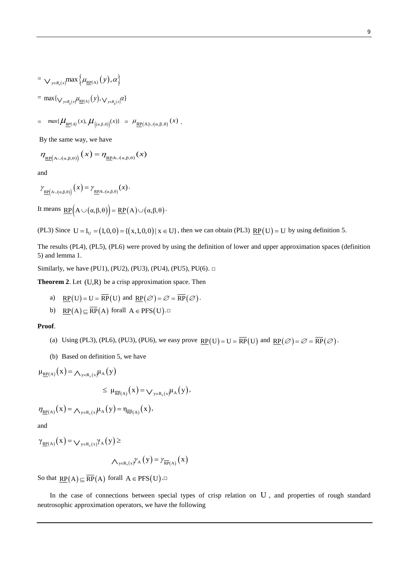$$
= \bigvee_{y \in R_s(x)} \max \left\{ \mu_{\underline{RP}(A)}(y), \alpha \right\}
$$
  
= max{ $\bigvee_{y \in R_s(x)} \mu_{\underline{RP}(A)}(y), \bigvee_{y \in R_s(x)} \alpha$ }

$$
= \ \ \max\{ \mu_{\underline{RP}(A)}(x), \mu_{\big((\alpha,\beta,\theta)\big)}(x) \} \ = \ \mu_{\underline{RP}(A)\cup(\alpha,\beta,\theta)}(x) \ .
$$

By the same way, we have

$$
\eta_{\underline{\text{RP}}\left(\text{A}\cup(\alpha,\beta,\theta)\right)}(x) = \eta_{\underline{\text{RP}}\text{A}\cup(\alpha,\beta,\theta)}(x)
$$

and

$$
\gamma_{\underline{\text{RP}}\big(\mathbf{A}\cup(\mathbf{a},\beta,\theta)\big)}\big(\mathbf{x}\big) = \gamma_{\underline{\text{RP}}\mathbf{A}\cup(\mathbf{a},\beta,\theta)}(\mathbf{x})\,.
$$

It means  $\underline{RP}(A \cup (\alpha, \beta, \theta)) = \underline{RP}(A) \cup (\alpha, \beta, \theta)$ .

(PL3) Since  $U = I_U = (1,0,0) = { (x,1,0,0) | x \in U }$ , then we can obtain (PL3)  $\underline{RP}(U) = U$  by using definition 5.

The results (PL4), (PL5), (PL6) were proved by using the definition of lower and upper approximation spaces (definition 5) and lemma 1.

Similarly, we have (PU1), (PU2), (PU3), (PU4), (PU5), PU(6). □

**Theorem 2.** Let  $(U,R)$  be a crisp approximation space. Then

- a)  $\underline{RP}(U) = U = \overline{RP}(U)$  and  $\underline{RP}(\emptyset) = \emptyset = \overline{RP}(\emptyset)$ .
- b)  $\underline{RP}(A) \subseteq \overline{RP}(A)$  forall  $A \in PFS(U)$ .

# **Proof**.

- (a) Using (PL3), (PL6), (PU3), (PU6), we easy prove  $\underline{RP}(U) = U = \overline{RP}(U)$  and  $\underline{RP}(\emptyset) = \emptyset = \overline{RP}(\emptyset)$ .
- (b) Based on definition 5, we have

 $\mu_{\underline{RP}(A)}(x) = \bigwedge_{y \in R_s(x)} \mu_A(y)$ 

$$
\leq \ \mu_{\overline{\text{RP}}(A)}\big(x\big) \!=\! \bigvee\nolimits_{y\in R_s(x)}\!\!\mu_A\big(y\big),
$$

$$
\eta_{\underline{RP}(A)}(x) = \Lambda_{y \in R_s(x)} \mu_A(y) = \eta_{\overline{RP}(A)}(x),
$$

and

 $\gamma_{\underline{RP}(A)}(x) = \bigvee_{y \in R_s(x)} \gamma_A(y) \ge$ 

$$
\bigwedge\nolimits_{y\in R_s(x)}\!\!\!\!\gamma_A\left(y\right)\!=\!\gamma_{\overline{RP}(A)}\left(x\right)
$$

So that  $\underline{RP}(A) \subseteq \overline{RP}(A)$  forall  $A \in PFS(U)$ .

In the case of connections between special types of crisp relation on U, and properties of rough standard neutrosophic approximation operators, we have the following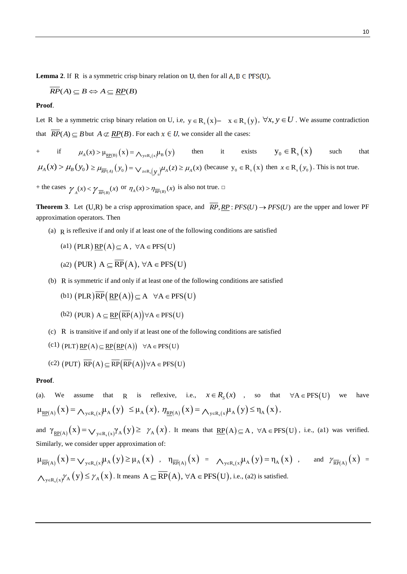**Lemma 2.** If R is a symmetric crisp binary relation on U, then for all  $A, B \in PFS(U)$ ,

$$
\overline{RP}(A) \subseteq B \Leftrightarrow A \subseteq \underline{RP}(B)
$$

### **Proof**.

Let R be a symmetric crisp binary relation on U, i.e,  $y \in R_s(x)$  –  $x \in R_s(y)$ ,  $\forall x, y \in U$ . We assume contradiction that  $\overline{RP}(A) \subseteq B$  but  $A \not\subset \underline{RP}(B)$ . For each  $x \in U$ , we consider all the cases:

+ if  $\mu_A(x) > \mu_{\underline{RP(B)}}(x) = \Lambda_{y \in R_s(x)} \mu_B(y)$  then it exists  $y_0 \in R_s(x)$ such that  $\mu_A(x) > \mu_B(y_0) \ge \mu_{\overline{RP}(A)}(y_0) = \sqrt{\sum_{z \in R_s(y_0)} \mu_A(z)} \ge \mu_A(x)$  (because  $y_0 \in R_s(x)$ ) then  $x \in R_s(y_0)$ . This is not true.

+ the cases  $\gamma_A(x) < \gamma_{\overline{RP}(B)}(x)$  or  $\eta_A(x) > \eta_{\overline{RP}(B)}(x)$  is also not true.  $\Box$ 

**Theorem 3**. Let (U,R) be a crisp approximation space, and  $\overline{RP}$ ,  $\underline{RP}$ :  $PFS(U) \rightarrow PFS(U)$  are the upper and lower PF approximation operators. Then

(a) R is reflexive if and only if at least one of the following conditions are satisfied

(a1) 
$$
(PLR) \underline{RP}(A) \subseteq A
$$
,  $\forall A \in PFS(U)$ 

(a2) (PUR) 
$$
A \subseteq \overline{RP}(A), \forall A \in PFS(U)
$$

(b) R is symmetric if and only if at least one of the following conditions are satisfied<br>
(b1)  $(PLR)\overline{RP}(\underline{RP}(A)) \subseteq A \quad \forall A \in PFS(U)$ 

(b1) 
$$
(PLR)RP(\underline{RP}(A)) \subseteq A \quad \forall A \in PFS(U)
$$

- (b2) (PUR)  $A \subseteq \underline{RP}(\overline{RP}(A)) \forall A \in PFS(U)$
- (c) R is transitive if and only if at least one of the following conditions are satisfied<br>
(c1)  $(PLT)$   $\underline{RP}(A) \subseteq \underline{RP}(\underline{RP}(A)) \quad \forall A \in PFS(U)$

$$
(c1) (PLT) \underline{RP}(A) \subseteq \underline{RP}(\underline{RP}(A)) \quad \forall A \in PFS(U)
$$

(c2) (PUT) 
$$
\overline{RP}(A) \subseteq \overline{RP}(\overline{RP}(A)) \forall A \in PFS(U)
$$

### **Proof**.

(a). We assume that R is reflexive, i.e.,  $x \in R_S(x)$ , so that  $\forall A \in PFS(U)$ have (a). We assume that R is reliexive, i.e.,  $x \in R_S(x)$ , so that<br>  $\mu_{\underline{RP}(A)}(x) = \bigwedge_{y \in R_S(x)} \mu_A(y) \leq \mu_A(x)$ ,  $\eta_{\underline{RP}(A)}(x) = \bigwedge_{y \in R_S(x)} \mu_A(y) \leq \eta_A(x)$ ,

and  $\gamma_{\underline{RP}(A)}(x) = \bigvee_{y \in R_s(x)} \gamma_A(y) \ge \gamma_A(x)$ . It means that  $\underline{RP}(A) \subseteq A$ ,  $\forall A \in PFS(U)$ , i.e., (a1) was verified. Similarly, we consider upper approximation of:

$$
\mu_{\overline{RP}(A)}(x) = \bigvee_{y \in R_s(x)} \mu_A(y) \ge \mu_A(x) , \quad \eta_{\overline{RP}(A)}(x) = \bigwedge_{y \in R_s(x)} \mu_A(y) = \eta_A(x) , \quad \text{and} \quad \gamma_{\overline{RP}(A)}(x) = \bigwedge_{y \in R_s(x)} \gamma_A(y) \le \gamma_A(x) . \text{ It means } A \subseteq \overline{RP}(A), \forall A \in PFS(U), \text{ i.e., (a2) is satisfied.}
$$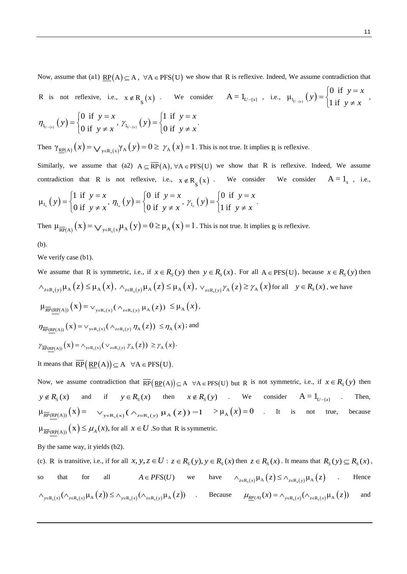Now, assume that (a1)  $\underline{RP}(A) \subseteq A$ ,  $\forall A \in PFS(U)$  we show that R is reflexive. Indeed, We assume contradiction that

R is not reflexive, i.e.,  $x \notin R_S(x)$ . We consider  $A = 1_{U - \{x\}}$ , i.e.,  $\mu_{1_{U - \{x\}}} (y)$ if i μ f  $\boldsymbol{0}$  $u_{\{x\}}$  (*y*)  $\frac{1}{1}$ *y*  $(y) = \begin{cases} 0 & \text{if } y = x \\ 1 & \text{if } y \neq x \end{cases}$  $=$  $\neq$  $\int$ ⇃  $\overline{\mathcal{L}}$ ,

.

$$
\eta_{I_{U-[x]}}(y) = \begin{cases} 0 & \text{if } y = x \\ 0 & \text{if } y \neq x \end{cases}, \gamma_{I_{U-[x]}}(y) = \begin{cases} 1 & \text{if } y = x \\ 0 & \text{if } y \neq x \end{cases}
$$

Then  $\gamma_{\underline{RP}(A)}(x) = \bigvee_{y \in R_s(x)} \gamma_A(y) = 0 \ge \gamma_A(x) = 1$ . This is not true. It implies R is reflexive.

Similarly, we assume that (a2)  $A \subseteq \overline{RP}(A)$ ,  $\forall A \in PFS(U)$  we show that R is reflexive. Indeed, We assume contradiction that R is not reflexive, i.e.,  $x \notin R_S(x)$ . We consider We consider  $A = 1_x$ , i.e.,

$$
\mu_{1_x}(y) = \begin{cases} 1 \text{ if } y = x \\ 0 \text{ if } y \neq x \end{cases}, \eta_{1_x}(y) = \begin{cases} 0 \text{ if } y = x \\ 0 \text{ if } y \neq x \end{cases}, \gamma_{1_x}(y) = \begin{cases} 0 \text{ if } y = x \\ 1 \text{ if } y \neq x \end{cases}.
$$

Then  $\mu_{\overline{RP}(A)}(x) = \bigvee_{y \in R_s(x)} \mu_A(y) = 0 \ge \mu_A(x) = 1$ . This is not true. It implies R is reflexive.

(b).

We verify case (b1).

We assume that R is symmetric, i.e., if 
$$
x \in R_S(y)
$$
 then  $y \in R_S(x)$ . For all  $A \in PFS(U)$ , because  $x \in R_S(y)$  then  
\n
$$
\wedge_{z \in R_s(y)} \mu_A(z) \leq \mu_A(x), \wedge_{z \in R_s(y)} \mu_A(z) \leq \mu_A(x), \vee_{z \in R_s(y)} \gamma_A(z) \geq \gamma_A(x)
$$
 for all  $y \in R_S(x)$ , we have  
\n
$$
\mu_{\overline{RP}(RP(A))}(x) = \vee_{y \in R_s(x)} (\wedge_{z \in R_s(y)} \mu_A(z)) \leq \mu_A(x),
$$
\n
$$
\eta_{\overline{RP}(RP(A))}(x) = \vee_{y \in R_s(x)} (\wedge_{z \in R_s(y)} \eta_A(z)) \leq \eta_A(x);
$$
and  
\n
$$
\gamma_{\overline{RP}(RP(A))}(x) = \wedge_{y \in R_s(x)} (\vee_{z \in R_s(y)} \eta_A(z)) \geq \gamma_A(x).
$$
  
\nIt means that  $\overline{RP}(RP(A)) \subseteq A \quad \forall A \in PFS(U).$ 

Now, we assume contradiction that  $\overline{RP}(\underline{RP}(A)) \subseteq A \quad \forall A \in PFS(U)$  but R is not symmetric, i.e., if  $x \in R_S(y)$  then  $y \notin R_s(x)$  and if  $y \in R_s(x)$  then  $x \notin R_s(y)$  . We consider  $A = 1_{U- \{x\}}$ . Then,  $\mu_{\overline{RP}(RP(A))}(x) = \cup_{y \in R_s(x)} (\wedge_{z \in R_s(y)} \mu_A(z)) = 1 \rightarrow \mu_A(x) = 0$  . It is not true, because  $\mu_{\overline{RP}(RP(A))}(x) \leq \mu_A(x)$ , for all  $x \in U$ . So that R is symmetric.

By the same way, it yields (b2).

(c). R is transitive, i.e., if for all  $x, y, z \in U : z \in R_S(y), y \in R_S(x)$  then  $z \in R_S(x)$ . It means that  $R_S(y) \subseteq R_S(x)$ , so that for all  $A \in PFS(U)$ we have  $\wedge_{z \in R_s(x)} \mu_A(z) \leq \wedge_{z \in R_s(y)} \mu_A(z)$ . Hence so that for all  $A \in PFS(U)$  we have  $\wedge_{z \in R_s(x)} \mu_A(z) \leq \wedge_{z \in R_s(y)} \mu_A(z)$ . Hen<br>  $\wedge_{y \in R_s(x)} (\wedge_{z \in R_s(x)} \mu_A(z)) \leq \wedge_{y \in R_s(x)} (\wedge_{z \in R_s(y)} \mu_A(z))$ . Because  $\mu_{\underline{RP}(A)}(x) = \wedge_{y \in R_s(x)} (\wedge_{z \in R_s(x)} \mu_A(z))$  and and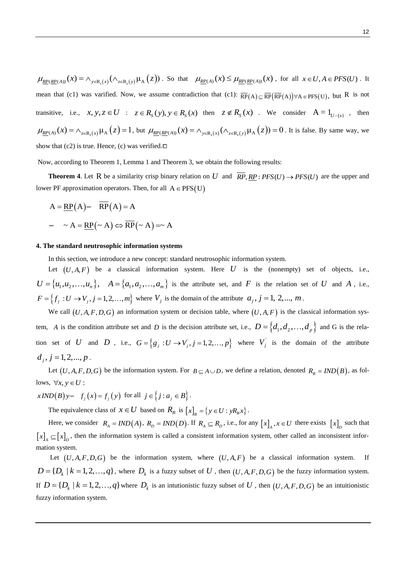$\mu_{\frac{RP(RP(A))}{x} (x) = \bigwedge_{y \in R_s(x)} (\bigwedge_{z \in R_s(y)} \mu_A(z))$ . So that  $\mu_{\frac{RP(A)}{x} (x) \leq \mu_{\frac{RP(RP(A))}{x} (x)} (x)$ , for all  $x \in U, A \in PFS(U)$ . It mean that (c1) was varified. Now, we assume contradiction that (c1):  $\overline{RP}(A) \subseteq \overline{RP}(RP(A)) \forall A \in PFS(U)$ , but R is not transitive, i.e.,  $x, y, z \in U$  :  $z \in R_s(y), y \in R_s(x)$  then  $z \notin R_s(x)$ . We consider  $A = 1_{U- \{x\}}$ , then  $\mu_{\underline{RP}(A)}(x) = \Lambda_{z \in R_s(x)} \mu_A(z) = 1$ , but  $\mu_{\underline{RP}(RP(A))}(x) = \Lambda_{y \in R_s(x)}(\Lambda_{z \in R_s(y)} \mu_A(z)) = 0$ . It is false. By same way, we show that  $(c2)$  is true. Hence,  $(c)$  was verified. $\square$ 

Now, according to Theorem 1, Lemma 1 and Theorem 3, we obtain the following results:

**Theorem 4.** Let R be a similarity crisp binary relation on U and  $\overline{RP}$ ,  $\overline{RP}$ ;  $\overline{PP}$ ,  $\overline{SP}$ ,  $\overline{RP}$ ;  $\overline{PFS}(U) \rightarrow \overline{PFS}(U)$  are the upper and lower PF approximation operators. Then, for all  $A \in PFS(U)$ 

$$
A = \underline{RP}(A) - \overline{RP}(A) = A
$$
  
-  $\sim A = \underline{RP}(\sim A) \Leftrightarrow \overline{RP}(\sim A) = \sim A$ 

### **4. The standard neutrosophic information systems**

In this section, we introduce a new concept: standard neutrosophic information system.

Let  $(U, A, F)$  be a classical information system. Here U is the (nonempty) set of objects, i.e.,  $U = \{u_1, u_2, \ldots, u_n\}, \quad A = \{a_1, a_2, \ldots, a_m\}$  is the attribute set, and *F* is the relation set of *U* and *A*, i.e.,  $F = \{f_j : U \to V_j, j = 1, 2, ..., m\}$  where  $V_j$  is the domain of the attribute  $a_j, j = 1, 2, ..., m$ .

We call  $(U, A, F, D, G)$  an information system or decision table, where  $(U, A, F)$  is the classical information system, A is the condition attribute set and D is the decision attribute set, i.e.,  $D = \{d_1, d_2, ..., d_p\}$  and G is the relation set of U and D , i.e.,  $G = \{g_j : U \rightarrow V_j, j = 1, 2, ..., p\}$  $G = \left\{ g_j : U \rightarrow V_j, j = 1,2,...,p \right\}$  where  $V_j$  is the domain of the attribute  $d_j$ ,  $j = 1,2,..., p$ .

Let  $(U, A, F, D, G)$  be the information system. For  $B \subseteq A \cup D$ , we define a relation, denoted  $R_B = IND(B)$ , as follows,  $\forall x, y \in U$ :

ows,  $\forall x, y \in U$ :<br> *xIND*(*B*)y-  $f_j(x) = f_j(y)$  for all  $j \in \{j : a_j \in B\}$ .

The equivalence class of  $x \in U$  based on  $R_B$  is  $[x]_B = \{y \in U : yR_Bx\}$ .

Here, we consider  $R_A = IND(A)$ ,  $R_D = IND(D)$ . If  $R_A \subseteq R_D$ , i.e., for any  $[x]_A$ ,  $x \in U$  there exists  $[x]_D$  such that  $\left[x\right]_A \subseteq \left[x\right]_D$ , then the information system is called a consistent information system, other called an inconsistent information system.

Let  $(U, A, F, D, G)$  be the information system, where  $(U, A, F)$  be a classical information system. If  $D = \{D_k | k = 1, 2, ..., q\}$ , where  $D_k$  is a fuzzy subset of U, then  $(U, A, F, D, G)$  be the fuzzy information system. If  $D = \{D_k \mid k = 1, 2, ..., q\}$  where  $D_k$  is an intutionistic fuzzy subset of U, then  $(U, A, F, D, G)$  be an intuitionistic fuzzy information system.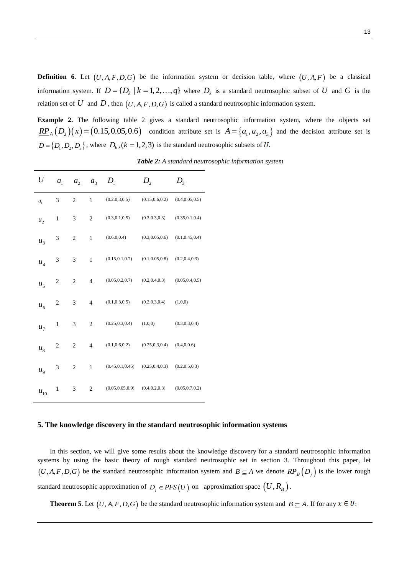**Definition 6.** Let  $(U, A, F, D, G)$  be the information system or decision table, where  $(U, A, F)$  be a classical information system. If  $D = \{D_k \mid k = 1, 2, ..., q\}$  where  $D_k$  is a standard neutrosophic subset of U and G is the relation set of  $U$  and  $D$  , then  $(U, A, F, D, G)$  is called a standard neutrosophic information system.

**Example 2.** The following table 2 gives a standard neutrosophic information system, where the objects set *RP<sub>A</sub>*  $(D_2)(x) = (0.15, 0.05, 0.6)$  condition attribute set is  $A = \{a_1, a_2, a_3\}$  and the decision attribute set is  $D = \{D_1, D_2, D_3\}$ , where  $D_k$ ,  $(k = 1, 2, 3)$  is the standard neutrosophic subsets of U.

| U              | a <sub>1</sub> | a <sub>2</sub> | a <sub>3</sub> | $D_{1}$           | D <sub>2</sub>   | $D_{3}$          |
|----------------|----------------|----------------|----------------|-------------------|------------------|------------------|
| $u_1$          | 3              | $\overline{c}$ | 1              | (0.2, 0.3, 0.5)   | (0.15, 0.6, 0.2) | (0.4, 0.05, 0.5) |
| $u_2$          | $\mathbf{1}$   | 3              | 2              | (0.3, 0.1, 0.5)   | (0.3, 0.3, 0.3)  | (0.35, 0.1, 0.4) |
| $u_3$          | 3              | $\overline{c}$ | $\mathbf{1}$   | (0.6, 0.0.4)      | (0.3, 0.05, 0.6) | (0.1, 0.45, 0.4) |
| $u_4$          | 3              | 3              | $\mathbf{1}$   | (0.15, 0.1, 0.7)  | (0.1, 0.05, 0.8) | (0.2, 0.4, 0.3)  |
| u <sub>5</sub> | $\overline{c}$ | $\overline{c}$ | $\overline{4}$ | (0.05, 0.2, 0.7)  | (0.2, 0.4, 0.3)  | (0.05, 0.4, 0.5) |
| $u_{\kappa}$   | $\overline{c}$ | 3              | $\overline{4}$ | (0.1, 0.3, 0.5)   | (0.2, 0.3, 0.4)  | (1,0,0)          |
| $u_{7}$        | $\mathbf{1}$   | 3              | $\overline{2}$ | (0.25, 0.3, 0.4)  | (1,0,0)          | (0.3, 0.3, 0.4)  |
| $u_{8}$        | $\overline{c}$ | $\overline{c}$ | $\overline{4}$ | (0.1, 0.6, 0.2)   | (0.25, 0.3, 0.4) | (0.4, 0.0.6)     |
| $u_{9}$        | 3              | $\overline{2}$ | $\,1$          | (0.45, 0.1, 0.45) | (0.25, 0.4, 0.3) | (0.2, 0.5, 0.3)  |
| $u_{10}$       | $\mathbf{1}$   | 3              | $\overline{2}$ | (0.05, 0.05, 0.9) | (0.4, 0.2, 0.3)  | (0.05, 0.7, 0.2) |

*Table 2: A standard neutrosophic information system*

# **5. The knowledge discovery in the standard neutrosophic information systems**

In this section, we will give some results about the knowledge discovery for a standard neutrosophic information systems by using the basic theory of rough standard neutrosophic set in section 3. Throughout this paper, let  $(U, A, F, D, G)$  be the standard neutrosophic information system and  $B \subseteq A$  we denote  $\frac{RP_B}{(D_j)}$  is the lower rough standard neutrosophic approximation of  $D_j \in PFS(U)$  on approximation space  $(U, R_B)$ .

**Theorem 5**. Let  $(U, A, F, D, G)$  be the standard neutrosophic information system and  $B \subseteq A$ . If for any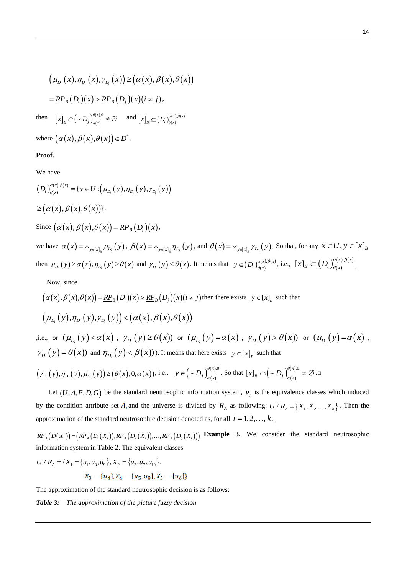$$
\left(\mu_{D_i}(x), \eta_{D_i}(x), \gamma_{D_i}(x)\right) \geq \left(\alpha(x), \beta(x), \theta(x)\right)
$$

$$
= \underline{RP}_B(D_i)(x) > \underline{RP}_B(D_j)(x)(i \neq j),
$$

then  $[x]_B \cap (\sim D_j)_{\alpha(x)}^{\theta(x)}$  $(x)$ ,0  $\mathcal{L}\big|_B \cap \left( \sim D_j \right)_{\alpha(x)}^{\theta(x)}$  $\bigcap \left( \sim D_j \right)_{\alpha(x)}^{\theta(x),0} \neq \varnothing$  and  $\left[ x \right]_B \subseteq \left( D_i \right)_{\theta(x)}^{\alpha(x)}$  $\{x\}_B \subseteq (D_i)_{\theta(x)}^{\alpha(x),\beta(x)}$ 

where  $(\alpha(x), \beta(x), \theta(x)) \in D^*$ .

# **Proof.**

We have

 $\left(D_i\right)_{\theta(x)}^{\omega(x)}$  $\begin{pmatrix} (x), \beta(x) \\ (y), \beta(x) \end{pmatrix} = \{ y \in U : ( \mu_{D_{1}}(y), \eta_{D_{1}}(y), \gamma_{D_{1}}(y) ) \}$  ${y \in U : (\mu_{D_i}(y), \eta_{D_i}(y), \gamma_{D_i})}$ *x*  $D_i$   $\int_{\theta(x)}^{\alpha(x), \theta(x)} f(x) dx = \{ y \in U : ( \mu_{D_i}(y), \eta_{D_i}(y), \gamma_{D_i}(y) ) \}$  $\geq (\alpha(x), \beta(x), \theta(x))$ . Since  $(\alpha(x), \beta(x), \theta(x)) = \underline{RP}_B(D_i)(x)$ ,

we have  $\alpha(x) = \bigwedge_{y \in [x]_B} \mu_{D_i}(y)$ ,  $\beta(x) = \bigwedge_{y \in [x]_B} \eta_{D_i}(y)$ , and  $\theta(x) = \bigvee_{y \in [x]_B} \gamma_{D_i}(y)$ . So that, for any  $x \in U, y \in [x]_B$ then  $\mu_{D_i}(y) \ge \alpha(x), \eta_{D_i}(y) \ge \theta(x)$  and  $\gamma_{D_i}(y) \le \theta(x)$ . It means that  $y \in (D_i)_{\theta(x)}^{\alpha(x)}$  $(x)$ ,  $\beta(x)$  $y \in (D_i)_{\theta(x)}^{\alpha(x),\beta(x)},$  i.e.,  $[x]_B \subseteq (D_i)_{\theta(x)}^{\alpha(x)}$  $[x]_B \subseteq (D_i)_{\theta(x)}^{\alpha(x),\beta(x)}$ .

Now, since

Now, since  
\n
$$
(\alpha(x), \beta(x), \theta(x)) = \underline{RP}_B(D_i)(x) > \underline{RP}_B(D_j)(x)(i \neq j)
$$
 then there exists  $y \in [x]_B$  such that  
\n
$$
(\mu_{D_i}(y), \eta_{D_i}(y), \gamma_{D_i}(y)) < (\alpha(x), \beta(x), \theta(x))
$$

,i.e., or  $(\mu_{D_i}(y) < \alpha(x)), \ \gamma_{D_i}(y) \ge \theta(x)$  or  $(\mu_{D_i}(y) = \alpha(x), \ \gamma_{D_i}(y) > \theta(x)$  or  $(\mu_{D_i}(y) = \alpha(x)$ ,  $\gamma_{D_i}(y) = \theta(x)$  and  $\eta_{D_i}(y) < \beta(x)$ ). It means that here exists  $y \in [x]_B$  such that

$$
\left(\gamma_{D_i}(y),\eta_{D_i}(y),\mu_{D_i}(y)\right) \geq \left(\theta(x),0,\alpha(x)\right),\text{ i.e., }\quad y \in \left(\sim D_j\right)_{\alpha(x)}^{\theta(x),0}.\text{ So that } \llbracket x \rrbracket_B \cap \left(\sim D_j\right)_{\alpha(x)}^{\theta(x),0} \neq \varnothing.\square
$$

Let  $(U, A, F, D, G)$  be the standard neutrosophic information system,  $R_A$  is the equivalence classes which induced by the condition attribute set A, and the universe is divided by  $R_A$  as following:  $U/R_A = \{X_1, X_2, ..., X_k\}$ . Then the approximation of the standard neutrosophic decision denoted as, for all  $i = 1, 2, ..., k$ .

approximation of the standard neutrosophic decision denoted<br> $\mathbb{R}P_A(D(X_i)) = (\mathbb{R}P_A(D_1(X_i)), \mathbb{R}P_A(D_2(X_i)), ..., \mathbb{R}P_A(D_q(X_i)))$ **Example 3.** We consider the standard neutrosophic

information system in Table 2. The equivalent classes  
\n
$$
U/R_A = \{X_1 = \{u_1, u_3, u_9\}, X_2 = \{u_2, u_7, u_{10}\},
$$
  
\n $X_3 = \{u_4\}, X_4 = \{u_5, u_8\}, X_5 = \{u_6\}\}$ 

The approximation of the standard neutrosophic decision is as follows:

*Table 3: The approximation of the picture fuzzy decision*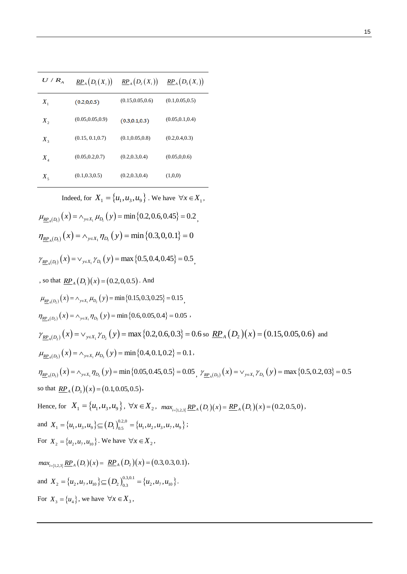| $U/R$ <sub>A</sub> | $\mathbb{R}P_{A}(D_{1}(X_{i}))$ | $\mathit{\underline{RP}}_{A}\big(D_{2}\big(X_{i}\big)\big)$ | $\mathbb{R}P_{A}\big(D_{3}\big(X_{i}\big)\big)$ |
|--------------------|---------------------------------|-------------------------------------------------------------|-------------------------------------------------|
| $X_1$              | (0.2, 0.0.5)                    | (0.15, 0.05, 0.6)                                           | (0.1, 0.05, 0.5)                                |
| $X_{2}$            | (0.05, 0.05, 0.9)               | (0.3, 0.1, 0.3)                                             | (0.05, 0.1, 0.4)                                |
| $X_3$              | (0.15, 0.1, 0.7)                | (0.1, 0.05, 0.8)                                            | (0.2, 0.4, 0.3)                                 |
| $X_4$              | (0.05, 0.2, 0.7)                | (0.2, 0.3, 0.4)                                             | (0.05, 0.0.6)                                   |
| $X_5$              | (0.1, 0.3, 0.5)                 | (0.2, 0.3, 0.4)                                             | (1,0,0)                                         |

Indeed, for  $X_1 = \{u_1, u_3, u_9\}$ . We have  $\forall x \in X_1$ ,<br>  $\mu_{\underline{RP}_A(D_1)}(x) = \wedge_{y \in X_1} \mu_{D_1}(y) = \min\{0.2, 0.6, 0.45\} = 0.2$ ,

$$
\mu_{\underline{RP}_{A}(D_{1})}(x) = \wedge_{y \in X_{1}} \mu_{D_{1}}(y) = \min\{0.2, 0.6, 0.45\} = 0.2,
$$
\n
$$
\eta_{\underline{RP}_{A}(D_{1})}(x) = \wedge_{y \in X_{1}} \eta_{D_{1}}(y) = \min\{0.3, 0, 0.1\} = 0
$$
\n
$$
\gamma_{\underline{RP}_{A}(D_{1})}(x) = \vee_{y \in X_{1}} \gamma_{D_{1}}(y) = \max\{0.5, 0.4, 0.45\} = 0.5,
$$
\n, so that  $\underline{RP}_{A}(D_{1})(x) = (0.2, 0.0.5)$ . And\n
$$
\mu_{\underline{RP}_{A}(D_{1})}(x) = \wedge_{y \in X_{1}} \eta_{D_{2}}(y) = \min\{0.15, 0.3, 0.25\} = 0.15,
$$
\n
$$
\eta_{\underline{RP}_{A}(D_{2})}(x) = \wedge_{y \in X_{1}} \eta_{D_{2}}(y) = \min\{0.6, 0.05, 0.4\} = 0.05,
$$
\n
$$
\gamma_{\underline{RP}_{A}(D_{2})}(x) = \vee_{y \in X_{1}} \gamma_{D_{2}}(y) = \max\{0.2, 0.6, 0.3\} = 0.6
$$
\nso  $\underline{RP}_{A}(D_{2})(x) = (0.15, 0.05, 0.6)$  and\n
$$
\mu_{\underline{RP}_{A}(D_{3})}(x) = \wedge_{y \in X_{1}} \mu_{D_{3}}(y) = \min\{0.4, 0.1, 0.2\} = 0.1,
$$
\n
$$
\eta_{\underline{RP}_{A}(D_{3})}(x) = \wedge_{y \in X_{1}} \eta_{D_{3}}(y) = \min\{0.05, 0.45, 0.5\} = 0.05, \quad \gamma_{\underline{RP}_{A}(D_{3})}(x) = \vee_{y \in X_{1}} \gamma_{D_{3}}(y) = \max\{0.5, 0.2, 0.3\} = 0.5
$$
\nso that  $\underline{RP}_{A}(D_{3})(x) = (0.1, 0.05, 0.5)$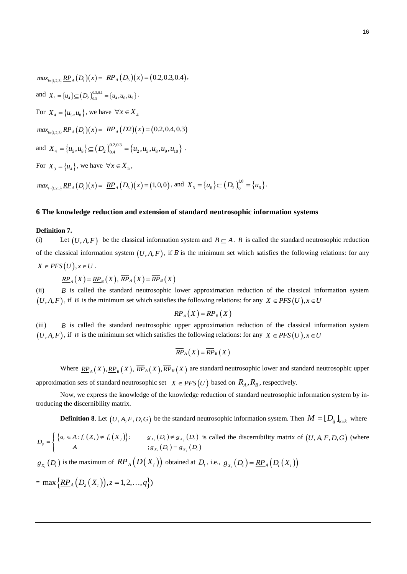$max_{i=[1,2,3]}$   $\underline{RP}_A(D_i)(x) = \underline{RP}_A(D_3)(x) = (0.2,0.3,0.4),$ and  $X_3 = \{u_4\} \subseteq (D_2)_{0,3}^{0,3,0,1} = \{u_4, u_6, u_9\}$ .  $X_3 = \{u_4\} \subseteq (D_2)_{0.3}^{0.3,0.1} = \{u_4, u_6, u_9\}$ . For  $X_4 = \{u_5, u_8\}$ , we have  $\forall x \in X_4$  $max_{i=[1,2,3]} \underline{RP}_A(D_i)(x) = \underline{RP}_A(D2)(x) = (0.2,0.4,0.3)$ and  $X_4 = {u_5, u_8} \subseteq (D_2)_{0,4}^{0,2,0,3} = {u_2, u_5, u_8, u_9, u_{10}}.$ For  $X_3 = \{u_4\}$ , we have  $\forall x \in X_5$ ,

 $max_{i=\{1,2,3\}}$   $\underline{RP}_A(D_i)(x) = \underline{RP}_A(D_3)(x) = (1,0,0)$ , and  $X_5 = \{u_6\} \subseteq (D_2)_0^{1,0} = \{u_6\}$ .

## **6 The knowledge reduction and extension of standard neutrosophic information systems**

## **Definition 7.**

(i) Let  $(U, A, F)$  be the classical information system and  $B \subseteq A$ . *B* is called the standard neutrosophic reduction of the classical information system  $(U, A, F)$ , if B is the minimum set which satisfies the following relations: for any  $X \in PFS(U), x \in U$ .

 $\overline{RP}_{A}(X) = \overline{RP}_{B}(X), \overline{RP}_{A}(X) = \overline{RP}_{B}(X)$ 

(ii) *B* is called the standard neutrosophic lower approximation reduction of the classical information system  $(U, A, F)$ , if *B* is the minimum set which satisfies the following relations: for any  $X \in PFS(U)$ ,  $x \in U$ 

$$
\underline{RP}_A(X) = \underline{RP}_B(X)
$$

(iii) *B* is called the standard neutrosophic upper approximation reduction of the classical information system  $(U, A, F)$ , if *B* is the minimum set which satisfies the following relations: for any  $X \in PFS(U)$ ,  $x \in U$ 

$$
\overline{RP}_A(X)=\overline{RP}_B(X)
$$

Where  $\underline{RP}_A(X), \underline{RP}_B(X), \overline{RP}_A(X), \overline{RP}_B(X)$  are standard neutrosophic lower and standard neutrosophic upper

approximation sets of standard neutrosophic set  $X \in PFS(U)$  based on  $R_A, R_B$ , respectively.

Now, we express the knowledge of the knowledge reduction of standard neutrosophic information system by introducing the discernibility matrix.

**Definition 8.** Let 
$$
(U, A, F, D, G)
$$
 be the standard neutrosophic information system. Then  $M = [D_{ij}]_{k \times k}$  where\n
$$
D_{ij} = \begin{cases} \{a_i \in A : f_i(X_i) \neq f_i(X_j)\}; & g_{X_i}(D_t) \neq g_{X_j}(D_t) \text{ is called the discriminity matrix of } (U, A, F, D, G) \text{ (where }\\ A & ; g_{X_i}(D_t) = g_{X_j}(D_t) \end{cases}
$$

 $g_{X_i}(D_i)$  is the maximum of  $\overline{RP}_A(D(X_i))$  obtained at  $D_i$ , i.e.,  $g_{X_i}(D_i) = \overline{RP}_A(D_i(X_i))$ 

$$
= \max \left\{ \underline{RP}_A \left( D_z \left( X_i \right) \right), z = 1, 2, ..., q \right\} \right)
$$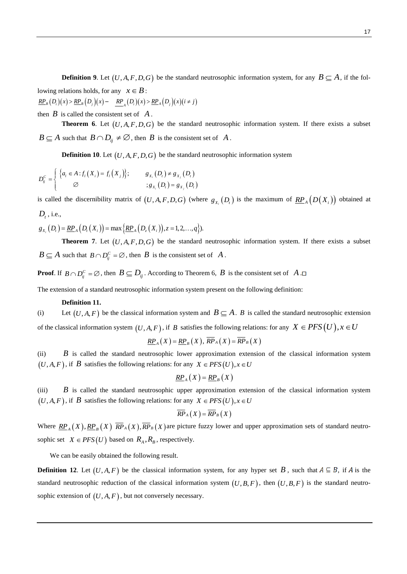**Definition 9.** Let  $(U, A, F, D, G)$  be the standard neutrosophic information system, for any  $B \subseteq A$ , if the following relations holds, for any  $x \in B$ : lowing relations holds, for any  $x \in B$ :<br>
<u> $RP_B(D_i)(x) > \underline{RP}_B(D_j)(x) - \underline{RP}_A(D_i)(x) > \underline{RP}_A(D_j)(x)(i \neq j)$ </u>

then  $B$  is called the consistent set of  $A$ .

**Theorem 6.** Let  $(U, A, F, D, G)$  be the standard neutrosophic information system. If there exists a subset  $B \subseteq A$  such that  $B \cap D_{ij} \neq \emptyset$ , then  $B$  is the consistent set of  $A$ .

**Definition 10.** Let 
$$
(U, A, F, D, G)
$$
 be the standard neutrosophic information system\n
$$
D_{ij}^C = \begin{cases} \n\{a_i \in A : f_i(X_i) = f_i(X_j)\}; & g_{X_i}(D_i) \neq g_{X_j}(D_i) \\
\varnothing & \n\end{cases}
$$
\n
$$
g_{X_i}(D_i) = g_{X_j}(D_i)
$$

is called the discernibility matrix of  $(U, A, F, D, G)$  (where  $g_{X_i}(D_i)$  is the maximum of  $\underline{RP}_A(D(X_i))$  obtained at  $D_t$ , i.e.,

*D<sub>t</sub>*, i.e.,<br>  $g_{X_i}(D_i) = \underline{RP}_A(D_i(X_i)) = \max \{ \underline{RP}_A(D_i(X_i)), z = 1, 2, ..., q \}).$ 

**Theorem 7.** Let  $(U, A, F, D, G)$  be the standard neutrosophic information system. If there exists a subset  $B \subseteq A$  such that  $B \cap D_{ij}^C = \emptyset$ , then  $B$  is the consistent set of  $\overline{A}$ .

**Proof**. If  $B \cap D_{ij}^C = \emptyset$ , then  $B \subseteq D_{ij}$ . According to Theorem 6,  $B$  is the consistent set of A.

The extension of a standard neutrosophic information system present on the following definition:

## **Definition 11.**

(i) Let  $(U, A, F)$  be the classical information system and  $B \subseteq A$ . *B* is called the standard neutrosophic extension of the classical information system  $(U, A, F)$ , if *B* satisfies the following relations: for any  $X \in PFS(U)$ ,  $x \in U$ <br> $\underline{RP}_A(X) = \underline{RP}_B(X)$ ,  $\overline{RP}_A(X) = \overline{RP}_B(X)$ 

$$
\underline{RP}_A(X) = \underline{RP}_B(X), \overline{RP}_A(X) = \overline{RP}_B(X)
$$

(ii) *B* is called the standard neutrosophic lower approximation extension of the classical information system  $(U, A, F)$ , if *B* satisfies the following relations: for any  $X \in PFS(U)$ ,  $x \in U$ 

$$
\underline{RP}_A(X) = \underline{RP}_B(X)
$$

 $(iii)$ *B* is called the standard neutrosophic upper approximation extension of the classical information system  $(U, A, F)$ , if *B* satisfies the following relations: for any  $X \in PFS(U)$ ,  $x \in U$ 

$$
\overline{RP}_A(X)=\overline{RP}_B(X)
$$

Where  $\underline{RP}_A(X), \underline{RP}_B(X)$   $\overline{RP}_A(X), \overline{RP}_B(X)$  are picture fuzzy lower and upper approximation sets of standard neutrosophic set  $X \in PFS(U)$  based on  $R_A, R_B$ , respectively.

We can be easily obtained the following result.

**Definition 12.** Let  $(U, A, F)$  be the classical information system, for any hyper set B, such that  $A \subseteq B$ , if A is the standard neutrosophic reduction of the classical information system  $(U, B, F)$ , then  $(U, B, F)$  is the standard neutrosophic extension of  $(U, A, F)$ , but not conversely necessary.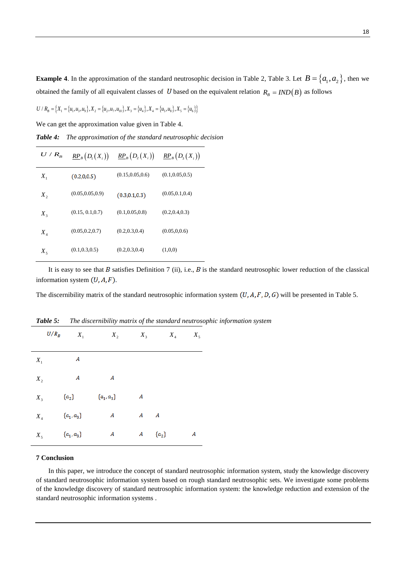**Example 4**. In the approximation of the standard neutrosophic decision in Table 2, Table 3. Let  $B = \{a_1, a_2\}$ , then we obtained the family of all equivalent classes of U based on the equivalent relation  $R_B = IND(B)$  as follows<br>  $U/R_B = \{X_1 = \{u_1, u_3, u_9\}, X_2 = \{u_2, u_7, u_{10}\}, X_3 = \{u_4\}, X_4 = \{u_5, u_8\}, X_5 = \{u_6\}\}\$ 

$$
U/R_B = \left\{ X_1 = \left\{ u_1, u_3, u_9 \right\}, X_2 = \left\{ u_2, u_7, u_{10} \right\}, X_3 = \left\{ u_4 \right\}, X_4 = \left\{ u_5, u_8 \right\}, X_5 = \left\{ u_6 \right\} \right\}
$$

We can get the approximation value given in Table 4.

*Table 4: The approximation of the standard neutrosophic decision*

| $U/R_{_B}$                 | $\mathbb{R}P_{B}\big(D_{1}\big(X_{i}\big)\big)$ | $\mathbb{R}P_{B}\big(D_{2}\big(X_{i}\big)\big)$ | $\frac{RP_B}{P_3}(D_3(X_i))$ |
|----------------------------|-------------------------------------------------|-------------------------------------------------|------------------------------|
| $X_{1}$                    | (0.2, 0.0.5)                                    | (0.15, 0.05, 0.6)                               | (0.1, 0.05, 0.5)             |
| $X_{2}$                    | (0.05, 0.05, 0.9)                               | (0.3, 0.1, 0.3)                                 | (0.05, 0.1, 0.4)             |
| $X_3$                      | (0.15, 0.1, 0.7)                                | (0.1, 0.05, 0.8)                                | (0.2, 0.4, 0.3)              |
| $X_{\scriptscriptstyle A}$ | (0.05, 0.2, 0.7)                                | (0.2, 0.3, 0.4)                                 | (0.05, 0.0.6)                |
| $X_5$                      | (0.1, 0.3, 0.5)                                 | (0.2, 0.3, 0.4)                                 | (1,0,0)                      |

It is easy to see that B satisfies Definition 7 (ii), i.e., B is the standard neutrosophic lower reduction of the classical information system  $(U, A, F)$ .

The discernibility matrix of the standard neutrosophic information system  $(U, A, F, D, G)$  will be presented in Table 5.

|       | $U/R_B$<br>$X_1$ | $X_2$            | $X_3$ |           | $X_4$<br>$X_5$ |
|-------|------------------|------------------|-------|-----------|----------------|
| $X_1$ | A                |                  |       |           |                |
| $X_2$ | $\boldsymbol{A}$ | $\boldsymbol{A}$ |       |           |                |
| $X_3$ | $\{a_2\}$        | ${a_1, a_3}$     | A     |           |                |
| $X_4$ | ${a_1, a_3}$     | A                |       | $A$ $A$   |                |
| $X_5$ | $\{a_1, a_3\}$   | A                | A     | $\{a_2\}$ | A              |

*Table 5: The discernibility matrix of the standard neutrosophic information system*

# **7 Conclusion**

In this paper, we introduce the concept of standard neutrosophic information system, study the knowledge discovery of standard neutrosophic information system based on rough standard neutrosophic sets. We investigate some problems of the knowledge discovery of standard neutrosophic information system: the knowledge reduction and extension of the standard neutrosophic information systems .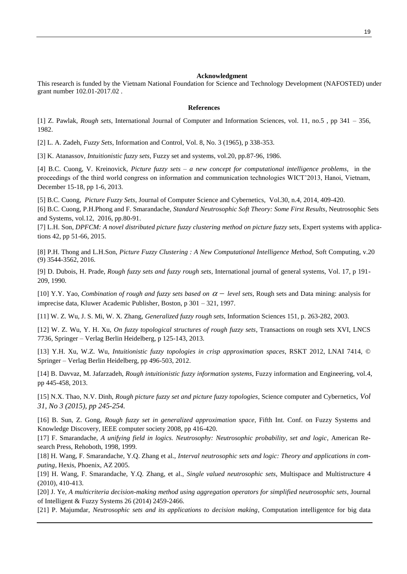#### **Acknowledgment**

This research is funded by the Vietnam National Foundation for Science and Technology Development (NAFOSTED) under grant number 102.01-2017.02 .

## **References**

[1] Z. Pawlak, *Rough sets*, International Journal of Computer and Information Sciences, vol. 11, no.5 , pp 341 – 356, 1982.

[2] L. A. Zadeh, *Fuzzy Sets*, Information and Control, Vol. 8, No. 3 (1965), p 338-353.

[3] K. Atanassov, *Intuitionistic fuzzy sets*, Fuzzy set and systems, vol.20, pp.87-96, 1986.

[4] B.C. Cuong, V. Kreinovick, *Picture fuzzy sets – a new concept for computational intelligence problems*, in the proceedings of the third world congress on information and communication technologies WICT'2013, Hanoi, Vietnam, December 15-18, pp 1-6, 2013.

[5] B.C. Cuong, *Picture Fuzzy Sets*, Journal of Computer Science and Cybernetics, Vol.30, n.4, 2014, 409-420.

[6] B.C. Cuong, P.H.Phong and F. Smarandache, *Standard Neutrosophic Soft Theory: Some First Results*, Neutrosophic Sets and Systems, vol.12, 2016, pp.80-91.

[7] L.H. Son, *DPFCM: A novel distributed picture fuzzy clustering method on picture fuzzy sets*, Expert systems with applications 42, pp 51-66, 2015.

[8] P.H. Thong and L.H.Son, *Picture Fuzzy Clustering : A New Computational Intelligence Method*, Soft Computing, v.20 (9) 3544-3562, 2016.

[9] D. Dubois, H. Prade, *Rough fuzzy sets and fuzzy rough sets*, International journal of general systems, Vol. 17, p 191- 209, 1990.

[10] Y.Y. Yao, *Combination of rough and fuzzy sets based on*  $\alpha$  – level sets, Rough sets and Data mining: analysis for imprecise data, Kluwer Academic Publisher, Boston, p 301 – 321, 1997.

[11] W. Z. Wu, J. S. Mi, W. X. Zhang, *Generalized fuzzy rough sets*, Information Sciences 151, p. 263-282, 2003.

[12] W. Z. Wu, Y. H. Xu, *On fuzzy topological structures of rough fuzzy sets*, Transactions on rough sets XVI, LNCS 7736, Springer – Verlag Berlin Heidelberg, p 125-143, 2013.

[13] Y.H. Xu, W.Z. Wu, *Intuitionistic fuzzy topologies in crisp approximation spaces*, RSKT 2012, LNAI 7414, © Springer – Verlag Berlin Heidelberg, pp 496-503, 2012.

[14] B. Davvaz, M. Jafarzadeh, *Rough intuitionistic fuzzy information systems*, Fuzzy information and Engineering, vol.4, pp 445-458, 2013.

[15] N.X. Thao, N.V. Dinh, *Rough picture fuzzy set and picture fuzzy topologies*, Science computer and Cybernetics, *Vol 31, No 3 (2015), pp 245-254.*

[16] B. Sun, Z. Gong, *Rough fuzzy set in generalized approximation space*, Fifth Int. Conf. on Fuzzy Systems and Knowledge Discovery, IEEE computer society 2008, pp 416-420.

[17] F. Smarandache, *A unifying field in logics. Neutrosophy: Neutrosophic probability, set and logic*, American Research Press, Rehoboth, 1998, 1999.

[18] H. Wang, F. Smarandache, Y.Q. Zhang et al., *Interval neutrosophic sets and logic: Theory and applications in computing*, Hexis, Phoenix, AZ 2005.

[19] H. Wang, F. Smarandache, Y.Q. Zhang, et al., *Single valued neutrosophic sets,* Multispace and Multistructure 4 (2010), 410-413.

[20] J. Ye, *A multicriteria decision-making method using aggregation operators for simplified neutrosophic sets*, Journal of Intelligent & Fuzzy Systems 26 (2014) 2459-2466.

[21] P. Majumdar, *Neutrosophic sets and its applications to decision making*, Computation intelligentce for big data